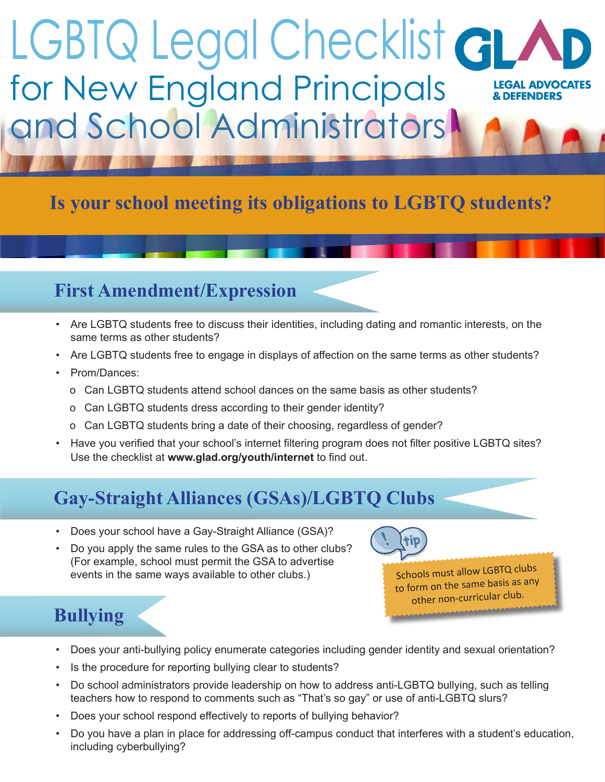# LGBTQ Legal Checklist GL for New England Principals **LEGAL ADVOCATES & DEFENDERS** and School Administrators

### **Is your school meeting its obligations to LGBTQ students?**

#### **First Amendment/Expression**

- Are LGBTQ students free to discuss their identities, including dating and romantic interests, on the same terms as other students?
- Are LGBTQ students free to engage in displays of affection on the same terms as other students?
- Prom/Dances:
	- o Can LGBTQ students attend school dances on the same basis as other students?
	- o Can LGBTQ students dress according to their gender identity?
	- o Can LGBTQ students bring a date of their choosing, regardless of gender?
- Have you verified that your school's internet filtering program does not filter positive LGBTQ sites? Use the checklist at **www.glad.org/youth/internet** to find out.

## **Gay-Straight Alliances (GSAs)/LGBTQ Clubs**

- Does your school have a Gay-Straight Alliance (GSA)?
- Do you apply the same rules to the GSA as to other clubs? (For example, school must permit the GSA to advertise events in the same ways available to other clubs.)

Schools must allow LGBTQ clubs to form on the same basis as any other non-curricular club.

## **Bullying**

- Does your anti-bullying policy enumerate categories including gender identity and sexual orientation?
- Is the procedure for reporting bullying clear to students?
- Do school administrators provide leadership on how to address anti-LGBTQ bullying, such as telling teachers how to respond to comments such as "That's so gay" or use of anti-LGBTQ slurs?
- Does your school respond effectively to reports of bullying behavior?
- Do you have a plan in place for addressing off-campus conduct that interferes with a student's education, including cyberbullying?